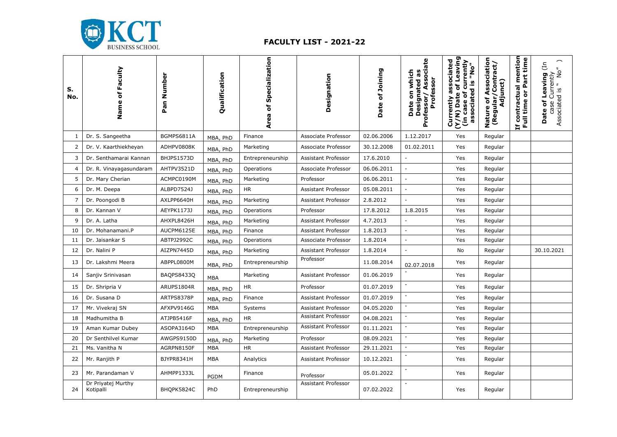

## **FACULTY LIST - 2021-22**

| s.<br>No. | Name of Faculty                 | Number<br>Pan <sup>1</sup> | Qualification | of Specialization<br>Area | Designation                | Date of Joining | Associate<br>Date on which<br><b>Designated as</b><br>Professor<br>Professor/ | Currently associated<br>(Y/N) Date of Leaving<br>currently<br>associated is "No"<br>(in case of | ciation<br>(Regular/Contract/<br>Adjunct)<br>Ō,<br>⋖<br>$\overline{\bullet}$<br>Nature | mention<br>Part time<br>contractual<br>$\overline{\bullet}$<br>time<br>호<br>티 | Leaving (In<br>$N^{\circ}$<br>case Currently<br>Associated is " No<br>Date of |
|-----------|---------------------------------|----------------------------|---------------|---------------------------|----------------------------|-----------------|-------------------------------------------------------------------------------|-------------------------------------------------------------------------------------------------|----------------------------------------------------------------------------------------|-------------------------------------------------------------------------------|-------------------------------------------------------------------------------|
| 1         | Dr. S. Sangeetha                | BGMPS6811A                 | MBA, PhD      | Finance                   | Associate Professor        | 02.06.2006      | 1.12.2017                                                                     | Yes                                                                                             | Regular                                                                                |                                                                               |                                                                               |
| 2         | Dr. V. Kaarthiekheyan           | ADHPV0808K                 | MBA, PhD      | Marketing                 | Associate Professor        | 30.12.2008      | 01.02.2011                                                                    | Yes                                                                                             | Regular                                                                                |                                                                               |                                                                               |
| 3         | Dr. Senthamarai Kannan          | BHJPS1573D                 | MBA, PhD      | Entrepreneurship          | <b>Assistant Professor</b> | 17.6.2010       |                                                                               | Yes                                                                                             | Regular                                                                                |                                                                               |                                                                               |
| 4         | Dr. R. Vinayagasundaram         | AHTPV3521D                 | MBA, PhD      | Operations                | Associate Professor        | 06.06.2011      | $\blacksquare$                                                                | Yes                                                                                             | Regular                                                                                |                                                                               |                                                                               |
| 5         | Dr. Mary Cherian                | ACMPC0190M                 | MBA, PhD      | Marketing                 | Professor                  | 06.06.2011      | $\sim$                                                                        | Yes                                                                                             | Regular                                                                                |                                                                               |                                                                               |
| 6         | Dr. M. Deepa                    | ALBPD7524J                 | MBA, PhD      | <b>HR</b>                 | Assistant Professor        | 05.08.2011      | $\omega$                                                                      | Yes                                                                                             | Regular                                                                                |                                                                               |                                                                               |
| 7         | Dr. Poongodi B                  | AXLPP6640H                 | MBA, PhD      | Marketing                 | Assistant Professor        | 2.8.2012        | $\overline{a}$                                                                | Yes                                                                                             | Regular                                                                                |                                                                               |                                                                               |
| 8         | Dr. Kannan V                    | AEYPK1173J                 | MBA, PhD      | Operations                | Professor                  | 17.8.2012       | 1.8.2015                                                                      | Yes                                                                                             | Regular                                                                                |                                                                               |                                                                               |
| 9         | Dr. A. Latha                    | AHXPL8426H                 | MBA, PhD      | Marketing                 | Assistant Professor        | 4.7.2013        |                                                                               | Yes                                                                                             | Regular                                                                                |                                                                               |                                                                               |
| 10        | Dr. Mohanamani.P                | AUCPM6125E                 | MBA, PhD      | Finance                   | Assistant Professor        | 1.8.2013        |                                                                               | Yes                                                                                             | Regular                                                                                |                                                                               |                                                                               |
| 11        | Dr. Jaisankar S                 | ABTPJ2992C                 | MBA, PhD      | Operations                | Associate Professor        | 1.8.2014        | $\overline{\phantom{a}}$                                                      | Yes                                                                                             | Regular                                                                                |                                                                               |                                                                               |
| 12        | Dr. Nalini P                    | AIZPN7445D                 | MBA, PhD      | Marketing                 | Assistant Professor        | 1.8.2014        | $\sim$                                                                        | No                                                                                              | Regular                                                                                |                                                                               | 30.10.2021                                                                    |
| 13        | Dr. Lakshmi Meera               | ABPPL0800M                 | MBA, PhD      | Entrepreneurship          | Professor                  | 11.08.2014      | 02.07.2018                                                                    | Yes                                                                                             | Regular                                                                                |                                                                               |                                                                               |
| 14        | Sanjiv Srinivasan               | BAQPS8433Q                 | <b>MBA</b>    | Marketing                 | Assistant Professor        | 01.06.2019      |                                                                               | Yes                                                                                             | Regular                                                                                |                                                                               |                                                                               |
| 15        | Dr. Shripria V                  | ARUPS1804R                 | MBA, PhD      | <b>HR</b>                 | Professor                  | 01.07.2019      | $\overline{\phantom{a}}$                                                      | Yes                                                                                             | Regular                                                                                |                                                                               |                                                                               |
| 16        | Dr. Susana D                    | ARTPS8378P                 | MBA, PhD      | Finance                   | Assistant Professor        | 01.07.2019      | $\blacksquare$                                                                | Yes                                                                                             | Regular                                                                                |                                                                               |                                                                               |
| 17        | Mr. Vivekraj SN                 | AFXPV9146G                 | <b>MBA</b>    | Systems                   | Assistant Professor        | 04.05.2020      | $\overline{\phantom{a}}$                                                      | Yes                                                                                             | Regular                                                                                |                                                                               |                                                                               |
| 18        | Madhumitha B                    | ATJPB5416F                 | MBA, PhD      | HR.                       | Assistant Professor        | 04.08.2021      | $\blacksquare$                                                                | Yes                                                                                             | Regular                                                                                |                                                                               |                                                                               |
| 19        | Aman Kumar Dubey                | ASOPA3164D                 | <b>MBA</b>    | Entrepreneurship          | Assistant Professor        | 01.11.2021      | $\sim$                                                                        | Yes                                                                                             | Regular                                                                                |                                                                               |                                                                               |
| 20        | Dr Senthilvel Kumar             | AWGPS9150D                 | MBA, PhD      | Marketing                 | Professor                  | 08.09.2021      | $\omega$                                                                      | Yes                                                                                             | Regular                                                                                |                                                                               |                                                                               |
| 21        | Ms. Vanitha N                   | AGRPN8150F                 | <b>MBA</b>    | <b>HR</b>                 | Assistant Professor        | 29.11.2021      | $\overline{\phantom{a}}$                                                      | Yes                                                                                             | Regular                                                                                |                                                                               |                                                                               |
| 22        | Mr. Ranjith P                   | BJYPR8341H                 | <b>MBA</b>    | Analytics                 | Assistant Professor        | 10.12.2021      | $\sim$                                                                        | Yes                                                                                             | Regular                                                                                |                                                                               |                                                                               |
| 23        | Mr. Parandaman V                | AHMPP1333L                 | <b>PGDM</b>   | Finance                   | Professor                  | 05.01.2022      |                                                                               | Yes                                                                                             | Regular                                                                                |                                                                               |                                                                               |
| 24        | Dr Priyatej Murthy<br>Kotipalli | BHOPK5824C                 | PhD           | Entrepreneurship          | Assistant Professor        | 07.02.2022      |                                                                               | Yes                                                                                             | Regular                                                                                |                                                                               |                                                                               |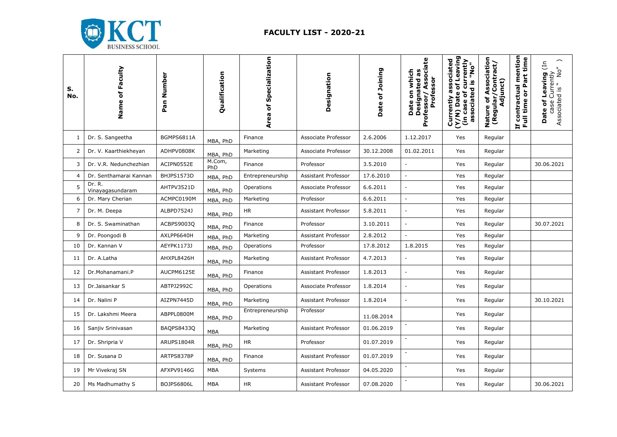

## **FACULTY LIST - 2020-21**

| S.<br>No.      | Name of Faculty            | Pan Number | Qualification | Area of Specialization | Designation         | Date of Joining | ate<br><b>Designated as<br/>Professor/ Associa</b><br>Date on which<br>Professor | Currently associated<br>(Y/N) Date of Leaving<br>(in case of currently<br>associated is "No" | ssociation<br>(Regular/Contract/<br>Adjunct)<br>⋖<br>٥f<br>Nature | Leaving (In<br>$N^{\circ}$<br>case Currently<br>Associated is " No'<br>đ<br>Date |
|----------------|----------------------------|------------|---------------|------------------------|---------------------|-----------------|----------------------------------------------------------------------------------|----------------------------------------------------------------------------------------------|-------------------------------------------------------------------|----------------------------------------------------------------------------------|
| 1              | Dr. S. Sangeetha           | BGMPS6811A | MBA, PhD      | Finance                | Associate Professor | 2.6.2006        | 1.12.2017                                                                        | Yes                                                                                          | Regular                                                           |                                                                                  |
| 2              | Dr. V. Kaarthiekheyan      | ADHPV0808K | MBA, PhD      | Marketing              | Associate Professor | 30.12.2008      | 01.02.2011                                                                       | Yes                                                                                          | Regular                                                           |                                                                                  |
| 3              | Dr. V.R. Nedunchezhian     | ACIPN0552E | M.Com,<br>PhD | Finance                | Professor           | 3.5.2010        | $\overline{a}$                                                                   | Yes                                                                                          | Regular                                                           | 30.06.2021                                                                       |
| $\overline{4}$ | Dr. Senthamarai Kannan     | BHJPS1573D | MBA, PhD      | Entrepreneurship       | Assistant Professor | 17.6.2010       | ÷,                                                                               | Yes                                                                                          | Regular                                                           |                                                                                  |
| 5              | Dr. R.<br>Vinayagasundaram | AHTPV3521D | MBA, PhD      | Operations             | Associate Professor | 6.6.2011        | ÷,                                                                               | Yes                                                                                          | Regular                                                           |                                                                                  |
| 6              | Dr. Mary Cherian           | ACMPC0190M | MBA, PhD      | Marketing              | Professor           | 6.6.2011        | $\overline{\phantom{a}}$                                                         | Yes                                                                                          | Regular                                                           |                                                                                  |
| 7              | Dr. M. Deepa               | ALBPD7524J | MBA, PhD      | <b>HR</b>              | Assistant Professor | 5.8.2011        |                                                                                  | Yes                                                                                          | Regular                                                           |                                                                                  |
| 8              | Dr. S. Swaminathan         | ACBPS9003Q | MBA, PhD      | Finance                | Professor           | 3.10.2011       | $\overline{a}$                                                                   | Yes                                                                                          | Regular                                                           | 30.07.2021                                                                       |
| 9              | Dr. Poongodi B             | AXLPP6640H | MBA, PhD      | Marketing              | Assistant Professor | 2.8.2012        |                                                                                  | Yes                                                                                          | Regular                                                           |                                                                                  |
| 10             | Dr. Kannan V               | AEYPK1173J | MBA, PhD      | Operations             | Professor           | 17.8.2012       | 1.8.2015                                                                         | Yes                                                                                          | Regular                                                           |                                                                                  |
| 11             | Dr. A.Latha                | AHXPL8426H | MBA, PhD      | Marketing              | Assistant Professor | 4.7.2013        |                                                                                  | Yes                                                                                          | Regular                                                           |                                                                                  |
| 12             | Dr.Mohanamani.P            | AUCPM6125E | MBA, PhD      | Finance                | Assistant Professor | 1.8.2013        | $\overline{\phantom{a}}$                                                         | Yes                                                                                          | Regular                                                           |                                                                                  |
| 13             | Dr.Jaisankar S             | ABTPJ2992C | MBA, PhD      | Operations             | Associate Professor | 1.8.2014        | $\overline{a}$                                                                   | Yes                                                                                          | Regular                                                           |                                                                                  |
| 14             | Dr. Nalini P               | AIZPN7445D | MBA, PhD      | Marketing              | Assistant Professor | 1.8.2014        | $\overline{\phantom{a}}$                                                         | Yes                                                                                          | Regular                                                           | 30.10.2021                                                                       |
| 15             | Dr. Lakshmi Meera          | ABPPL0800M | MBA, PhD      | Entrepreneurship       | Professor           | 11.08.2014      |                                                                                  | Yes                                                                                          | Regular                                                           |                                                                                  |
| 16             | Sanjiv Srinivasan          | BAQPS8433Q | <b>MBA</b>    | Marketing              | Assistant Professor | 01.06.2019      | $\overline{\phantom{a}}$                                                         | Yes                                                                                          | Regular                                                           |                                                                                  |
| 17             | Dr. Shripria V             | ARUPS1804R | MBA, PhD      | <b>HR</b>              | Professor           | 01.07.2019      |                                                                                  | Yes                                                                                          | Regular                                                           |                                                                                  |
| 18             | Dr. Susana D               | ARTPS8378P | MBA, PhD      | Finance                | Assistant Professor | 01.07.2019      | $\overline{\phantom{a}}$                                                         | Yes                                                                                          | Regular                                                           |                                                                                  |
| 19             | Mr Vivekraj SN             | AFXPV9146G | <b>MBA</b>    | Systems                | Assistant Professor | 04.05.2020      |                                                                                  | Yes                                                                                          | Regular                                                           |                                                                                  |
| 20             | Ms Madhumathy S            | BOJPS6806L | MBA           | HR                     | Assistant Professor | 07.08.2020      |                                                                                  | Yes                                                                                          | Regular                                                           | 30.06.2021                                                                       |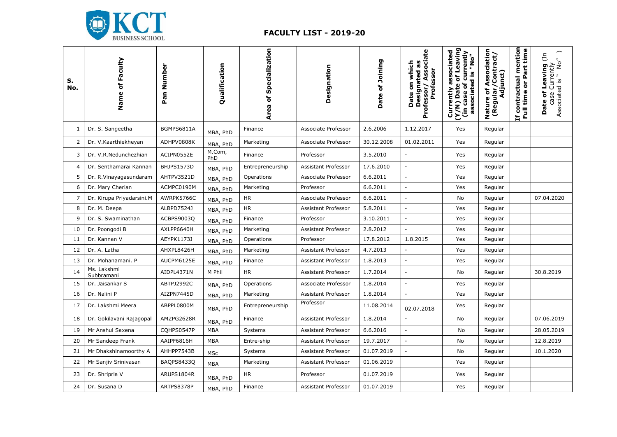

## **FACULTY LIST - 2019-20**

| S.<br>No.      | Name of Faculty           | Pan Number | Qualification | Area of Specialization | Designation         | Date of Joining | Professor/Associate<br>Date on which<br><b>Designated as</b><br>Professor | (Y/N) Date of Leaving<br>associated<br>currently<br>ok<br>associated is<br>(in case of<br>Currently | ssociation<br>(Regular/Contract/<br>Adjunct)<br>ة<br>6<br>Nature | mention<br>or Part time<br>contractual<br>Full time<br>뇹 | Leaving (In<br>$\mathop{\mathsf{No}}\nolimits''$<br>case Currently<br>Associated is " No<br>Date of |
|----------------|---------------------------|------------|---------------|------------------------|---------------------|-----------------|---------------------------------------------------------------------------|-----------------------------------------------------------------------------------------------------|------------------------------------------------------------------|----------------------------------------------------------|-----------------------------------------------------------------------------------------------------|
| 1              | Dr. S. Sangeetha          | BGMPS6811A | MBA, PhD      | Finance                | Associate Professor | 2.6.2006        | 1.12.2017                                                                 | Yes                                                                                                 | Regular                                                          |                                                          |                                                                                                     |
| 2              | Dr. V.Kaarthiekheyan      | ADHPV0808K | MBA, PhD      | Marketing              | Associate Professor | 30.12.2008      | 01.02.2011                                                                | Yes                                                                                                 | Regular                                                          |                                                          |                                                                                                     |
| 3              | Dr. V.R.Nedunchezhian     | ACIPN0552E | M.Com,<br>PhD | Finance                | Professor           | 3.5.2010        | $\overline{a}$                                                            | Yes                                                                                                 | Regular                                                          |                                                          |                                                                                                     |
| $\overline{4}$ | Dr. Senthamarai Kannan    | BHJPS1573D | MBA, PhD      | Entrepreneurship       | Assistant Professor | 17.6.2010       | $\overline{\phantom{a}}$                                                  | Yes                                                                                                 | Regular                                                          |                                                          |                                                                                                     |
| 5              | Dr. R.Vinayagasundaram    | AHTPV3521D | MBA, PhD      | Operations             | Associate Professor | 6.6.2011        | ÷,                                                                        | Yes                                                                                                 | Regular                                                          |                                                          |                                                                                                     |
| 6              | Dr. Mary Cherian          | ACMPC0190M | MBA, PhD      | Marketing              | Professor           | 6.6.2011        | ÷,                                                                        | Yes                                                                                                 | Regular                                                          |                                                          |                                                                                                     |
| $\overline{7}$ | Dr. Kirupa Priyadarsini.M | AWRPK5766C | MBA, PhD      | $\sf HR$               | Associate Professor | 6.6.2011        | ÷,                                                                        | No                                                                                                  | Regular                                                          |                                                          | 07.04.2020                                                                                          |
| 8              | Dr. M. Deepa              | ALBPD7524J | MBA, PhD      | <b>HR</b>              | Assistant Professor | 5.8.2011        | $\overline{\phantom{a}}$                                                  | Yes                                                                                                 | Regular                                                          |                                                          |                                                                                                     |
| 9              | Dr. S. Swaminathan        | ACBPS9003Q | MBA, PhD      | Finance                | Professor           | 3.10.2011       | $\omega$                                                                  | Yes                                                                                                 | Regular                                                          |                                                          |                                                                                                     |
| 10             | Dr. Poongodi B            | AXLPP6640H | MBA, PhD      | Marketing              | Assistant Professor | 2.8.2012        | $\overline{a}$                                                            | Yes                                                                                                 | Regular                                                          |                                                          |                                                                                                     |
| 11             | Dr. Kannan V              | AEYPK1173J | MBA, PhD      | Operations             | Professor           | 17.8.2012       | 1.8.2015                                                                  | Yes                                                                                                 | Regular                                                          |                                                          |                                                                                                     |
| 12             | Dr. A. Latha              | AHXPL8426H | MBA, PhD      | Marketing              | Assistant Professor | 4.7.2013        | $\overline{\phantom{a}}$                                                  | Yes                                                                                                 | Regular                                                          |                                                          |                                                                                                     |
| 13             | Dr. Mohanamani. P         | AUCPM6125E | MBA, PhD      | Finance                | Assistant Professor | 1.8.2013        | $\bar{\phantom{a}}$                                                       | Yes                                                                                                 | Regular                                                          |                                                          |                                                                                                     |
| 14             | Ms. Lakshmi<br>Subbramani | AIDPL4371N | M Phil        | <b>HR</b>              | Assistant Professor | 1.7.2014        | $\overline{a}$                                                            | No                                                                                                  | Regular                                                          |                                                          | 30.8.2019                                                                                           |
| 15             | Dr. Jaisankar S           | ABTPJ2992C | MBA, PhD      | Operations             | Associate Professor | 1.8.2014        | $\overline{\phantom{a}}$                                                  | Yes                                                                                                 | Regular                                                          |                                                          |                                                                                                     |
| 16             | Dr. Nalini P              | AIZPN7445D | MBA, PhD      | Marketing              | Assistant Professor | 1.8.2014        | $\overline{a}$                                                            | Yes                                                                                                 | Regular                                                          |                                                          |                                                                                                     |
| 17             | Dr. Lakshmi Meera         | ABPPL0800M | MBA, PhD      | Entrepreneurship       | Professor           | 11.08.2014      | 02.07.2018                                                                | Yes                                                                                                 | Regular                                                          |                                                          |                                                                                                     |
| 18             | Dr. Gokilavani Rajagopal  | AMZPG2628R | MBA, PhD      | Finance                | Assistant Professor | 1.8.2014        |                                                                           | No                                                                                                  | Regular                                                          |                                                          | 07.06.2019                                                                                          |
| 19             | Mr Anshul Saxena          | CQHPS0547P | <b>MBA</b>    | Systems                | Assistant Professor | 6.6.2016        | $\overline{\phantom{a}}$                                                  | No                                                                                                  | Regular                                                          |                                                          | 28.05.2019                                                                                          |
| 20             | Mr Sandeep Frank          | AAIPF6816H | MBA           | Entre-ship             | Assistant Professor | 19.7.2017       | $\overline{a}$                                                            | No                                                                                                  | Regular                                                          |                                                          | 12.8.2019                                                                                           |
| 21             | Mr Dhakshinamoorthy A     | AHHPP7543B | MSc           | Systems                | Assistant Professor | 01.07.2019      | $\overline{a}$                                                            | No                                                                                                  | Regular                                                          |                                                          | 10.1.2020                                                                                           |
| 22             | Mr Sanjiv Srinivasan      | BAQPS8433Q | <b>MBA</b>    | Marketing              | Assistant Professor | 01.06.2019      |                                                                           | Yes                                                                                                 | Regular                                                          |                                                          |                                                                                                     |
| 23             | Dr. Shripria V            | ARUPS1804R | MBA, PhD      | HR                     | Professor           | 01.07.2019      |                                                                           | Yes                                                                                                 | Regular                                                          |                                                          |                                                                                                     |
| 24             | Dr. Susana D              | ARTPS8378P | MBA, PhD      | Finance                | Assistant Professor | 01.07.2019      |                                                                           | Yes                                                                                                 | Regular                                                          |                                                          |                                                                                                     |